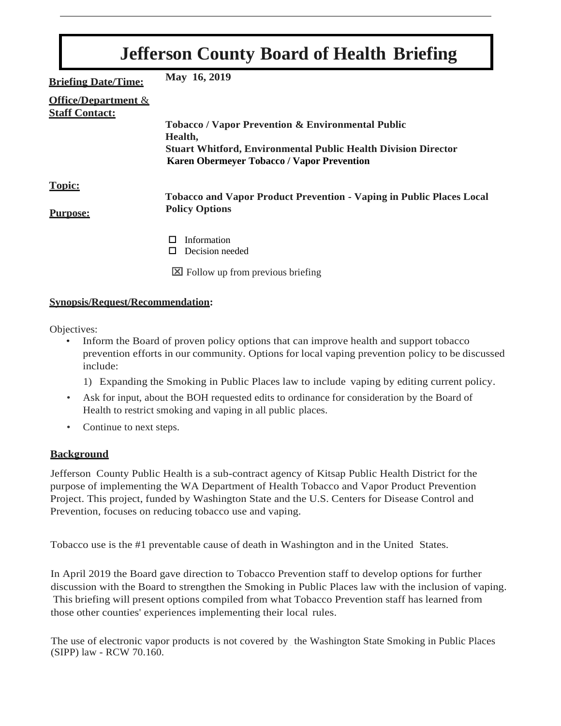| <b>Jefferson County Board of Health Briefing</b>        |                                                                                  |
|---------------------------------------------------------|----------------------------------------------------------------------------------|
| <b>Briefing Date/Time:</b>                              | May 16, 2019                                                                     |
| <b>Office/Department &amp;</b><br><b>Staff Contact:</b> |                                                                                  |
|                                                         | <b>Tobacco / Vapor Prevention &amp; Environmental Public</b>                     |
|                                                         | Health,<br><b>Stuart Whitford, Environmental Public Health Division Director</b> |
|                                                         | <b>Karen Obermeyer Tobacco / Vapor Prevention</b>                                |
| <b>Topic:</b>                                           | <b>Tobacco and Vapor Product Prevention - Vaping in Public Places Local</b>      |
| <b>Purpose:</b>                                         | <b>Policy Options</b>                                                            |
|                                                         | Information<br>Decision needed<br>П                                              |
|                                                         | $\boxtimes$ Follow up from previous briefing                                     |

# **Synopsis/Request/Recommendation:**

Objectives:

- Inform the Board of proven policy options that can improve health and support tobacco prevention efforts in our community. Options for local vaping prevention policy to be discussed include:
	- 1) Expanding the Smoking in Public Places law to include vaping by editing current policy.
- Ask for input, about the BOH requested edits to ordinance for consideration by the Board of Health to restrict smoking and vaping in all public places.
- Continue to next steps.

#### **Background**

Jefferson County Public Health is a sub-contract agency of Kitsap Public Health District for the purpose of implementing the WA Department of Health Tobacco and Vapor Product Prevention Project. This project, funded by Washington State and the U.S. Centers for Disease Control and Prevention, focuses on reducing tobacco use and vaping.

Tobacco use is the #1 preventable cause of death in Washington and in the United States.

In April 2019 the Board gave direction to Tobacco Prevention staff to develop options for further discussion with the Board to strengthen the Smoking in Public Places law with the inclusion of vaping. This briefing will present options compiled from what Tobacco Prevention staff has learned from those other counties' experiences implementing their local rules.

The use of electronic vapor products is not covered by the Washington State Smoking in Public Places (SIPP) law - RCW 70.160.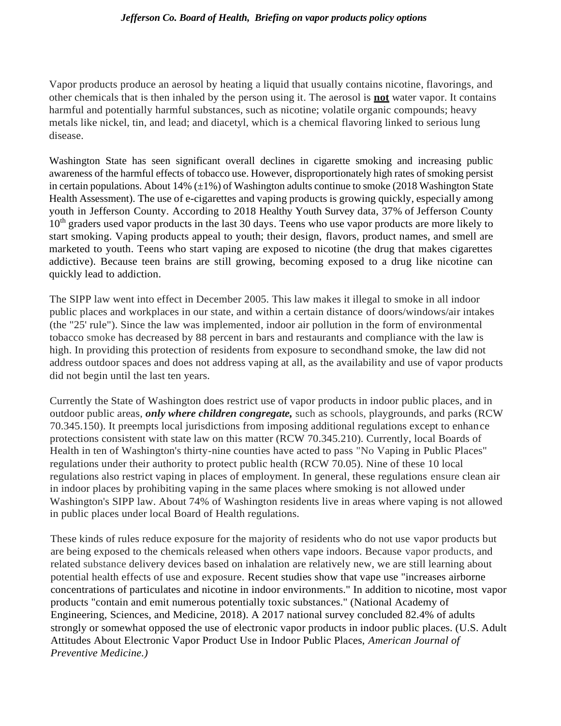#### *Jefferson Co. Board of Health, Briefing on vapor products policy options*

Vapor products produce an aerosol by heating a liquid that usually contains nicotine, flavorings, and other chemicals that is then inhaled by the person using it. The aerosol is **not** water vapor. It contains harmful and potentially harmful substances, such as nicotine; volatile organic compounds; heavy metals like nickel, tin, and lead; and diacetyl, which is a chemical flavoring linked to serious lung disease.

Washington State has seen significant overall declines in cigarette smoking and increasing public awareness of the harmful effects of tobacco use. However, disproportionately high rates of smoking persist in certain populations. About 14%  $(\pm 1\%)$  of Washington adults continue to smoke (2018 Washington State Health Assessment). The use of e-cigarettes and vaping products is growing quickly, especially among youth in Jefferson County. According to 2018 Healthy Youth Survey data, 37% of Jefferson County 10<sup>th</sup> graders used vapor products in the last 30 days. Teens who use vapor products are more likely to start smoking. Vaping products appeal to youth; their design, flavors, product names, and smell are marketed to youth. Teens who start vaping are exposed to nicotine (the drug that makes cigarettes addictive). Because teen brains are still growing, becoming exposed to a drug like nicotine can quickly lead to addiction.

The SIPP law went into effect in December 2005. This law makes it illegal to smoke in all indoor public places and workplaces in our state, and within a certain distance of doors/windows/air intakes (the "25' rule"). Since the law was implemented, indoor air pollution in the form of environmental tobacco smoke has decreased by 88 percent in bars and restaurants and compliance with the law is high. In providing this protection of residents from exposure to secondhand smoke, the law did not address outdoor spaces and does not address vaping at all, as the availability and use of vapor products did not begin until the last ten years.

Currently the State of Washington does restrict use of vapor products in indoor public places, and in outdoor public areas, *only where children congregate,* such as schools, playgrounds, and parks (RCW 70.345.150). It preempts local jurisdictions from imposing additional regulations except to enhance protections consistent with state law on this matter (RCW 70.345.210). Currently, local Boards of Health in ten of Washington's thirty-nine counties have acted to pass "No Vaping in Public Places" regulations under their authority to protect public health (RCW 70.05). Nine of these 10 local regulations also restrict vaping in places of employment. In general, these regulations ensure clean air in indoor places by prohibiting vaping in the same places where smoking is not allowed under Washington's SIPP law. About 74% of Washington residents live in areas where vaping is not allowed in public places under local Board of Health regulations.

These kinds of rules reduce exposure for the majority of residents who do not use vapor products but are being exposed to the chemicals released when others vape indoors. Because vapor products, and related substance delivery devices based on inhalation are relatively new, we are still learning about potential health effects of use and exposure. Recent studies show that vape use "increases airborne concentrations of particulates and nicotine in indoor environments." In addition to nicotine, most vapor products "contain and emit numerous potentially toxic substances." (National Academy of Engineering, Sciences, and Medicine, 2018). A 2017 national survey concluded 82.4% of adults strongly or somewhat opposed the use of electronic vapor products in indoor public places. (U.S. Adult Attitudes About Electronic Vapor Product Use in Indoor Public Places, *American Journal of Preventive Medicine.)*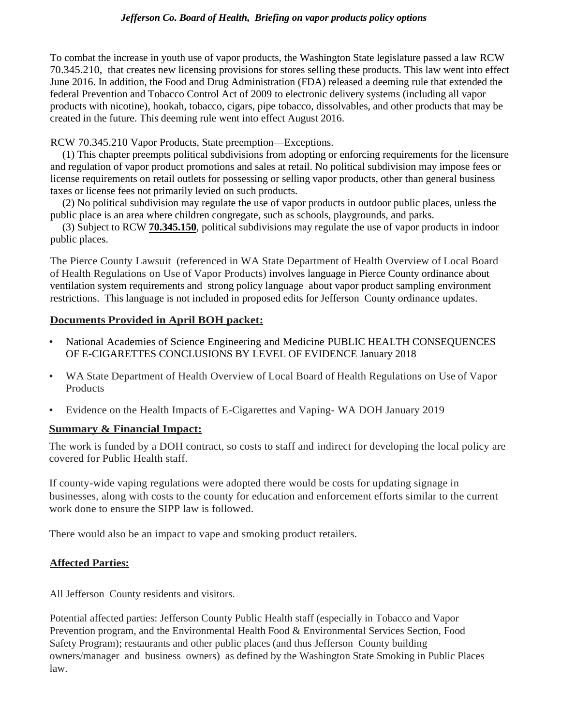#### *Jefferson Co. Board of Health, Briefing on vapor products policy options*

To combat the increase in youth use of vapor products, the Washington State legislature passed a law RCW 70.345.210, that creates new licensing provisions for stores selling these products. This law went into effect June 2016. In addition, the Food and Drug Administration (FDA) released a deeming rule that extended the federal Prevention and Tobacco Control Act of 2009 to electronic delivery systems (including all vapor products with nicotine), hookah, tobacco, cigars, pipe tobacco, dissolvables, and other products that may be created in the future. This deeming rule went into effect August 2016.

RCW 70.345.210 Vapor Products, State preemption—Exceptions.

(1) This chapter preempts political subdivisions from adopting or enforcing requirements for the licensure and regulation of vapor product promotions and sales at retail. No political subdivision may impose fees or license requirements on retail outlets for possessing or selling vapor products, other than general business taxes or license fees not primarily levied on such products.

(2) No political subdivision may regulate the use of vapor products in outdoor public places, unless the public place is an area where children congregate, such as schools, playgrounds, and parks.

(3) Subject to RCW **[70.345.150](http://app.leg.wa.gov/RCW/default.aspx?cite=70.345.150)**, political subdivisions may regulate the use of vapor products in indoor public places.

The Pierce County Lawsuit (referenced in WA State Department of Health Overview of Local Board of Health Regulations on Use of Vapor Products) involves language in Pierce County ordinance about ventilation system requirements and strong policy language about vapor product sampling environment restrictions. This language is not included in proposed edits for Jefferson County ordinance updates.

# **Documents Provided in April BOH packet:**

- National Academies of Science Engineering and Medicine PUBLIC HEALTH CONSEQUENCES OF E-CIGARETTES CONCLUSIONS BY LEVEL OF EVIDENCE January 2018
- WA State Department of Health Overview of Local Board of Health Regulations on Use of Vapor Products
- Evidence on the Health Impacts of E-Cigarettes and Vaping- WA DOH January 2019

#### **Summary & Financial Impact:**

The work is funded by a DOH contract, so costs to staff and indirect for developing the local policy are covered for Public Health staff.

If county-wide vaping regulations were adopted there would be costs for updating signage in businesses, along with costs to the county for education and enforcement efforts similar to the current work done to ensure the SIPP law is followed.

There would also be an impact to vape and smoking product retailers.

#### **Affected Parties:**

All Jefferson County residents and visitors.

Potential affected parties: Jefferson County Public Health staff (especially in Tobacco and Vapor Prevention program, and the Environmental Health Food & Environmental Services Section, Food Safety Program); restaurants and other public places (and thus Jefferson County building owners/manager and business owners) as defined by the Washington State Smoking in Public Places law.